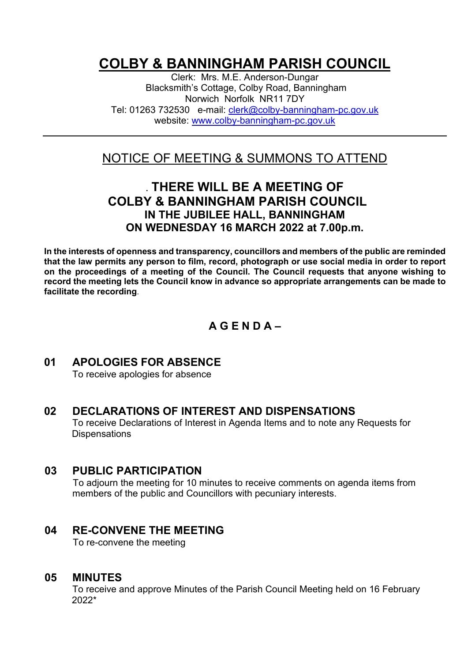# **COLBY & BANNINGHAM PARISH COUNCIL**

Clerk: Mrs. M.E. Anderson-Dungar Blacksmith's Cottage, Colby Road, Banningham Norwich Norfolk NR11 7DY Tel: 01263 732530 e-mail: [clerk@colby-banningham-pc.gov.uk](mailto:clerk@colby-banningham-pc.gov.uk) website: [www.colby-banningham-pc.gov.uk](http://www.colby-banningham-pc.gov.uk/)

# NOTICE OF MEETING & SUMMONS TO ATTEND

# **. THERE WILL BE A MEETING OF COLBY & BANNINGHAM PARISH COUNCIL IN THE JUBILEE HALL, BANNINGHAM ON WEDNESDAY 16 MARCH 2022 at 7.00p.m.**

**In the interests of openness and transparency, councillors and members of the public are reminded that the law permits any person to film, record, photograph or use social media in order to report on the proceedings of a meeting of the Council. The Council requests that anyone wishing to record the meeting lets the Council know in advance so appropriate arrangements can be made to facilitate the recording**.

# **A G E N D A –**

# **01 APOLOGIES FOR ABSENCE**

To receive apologies for absence

# **02 DECLARATIONS OF INTEREST AND DISPENSATIONS**

To receive Declarations of Interest in Agenda Items and to note any Requests for **Dispensations** 

#### **03 PUBLIC PARTICIPATION**

To adjourn the meeting for 10 minutes to receive comments on agenda items from members of the public and Councillors with pecuniary interests.

# **04 RE-CONVENE THE MEETING**

To re-convene the meeting

#### **05 MINUTES**

To receive and approve Minutes of the Parish Council Meeting held on 16 February 2022\*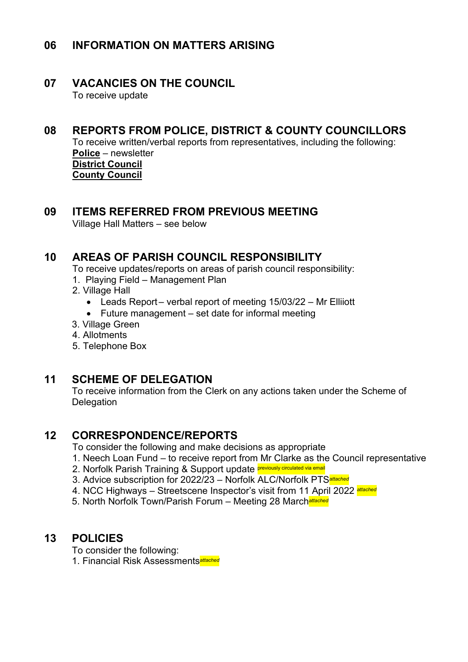# **06 INFORMATION ON MATTERS ARISING**

# **07 VACANCIES ON THE COUNCIL**

To receive update

# **08 REPORTS FROM POLICE, DISTRICT & COUNTY COUNCILLORS**

To receive written/verbal reports from representatives, including the following: **Police** – newsletter **District Council County Council**

#### **09 ITEMS REFERRED FROM PREVIOUS MEETING**

Village Hall Matters – see below

# **10 AREAS OF PARISH COUNCIL RESPONSIBILITY**

To receive updates/reports on areas of parish council responsibility:

- 1. Playing Field Management Plan
- 2. Village Hall
	- Leads Report verbal report of meeting 15/03/22 Mr Elliiott
	- Future management set date for informal meeting
- 3. Village Green
- 4. Allotments
- 5. Telephone Box

#### **11 SCHEME OF DELEGATION**

To receive information from the Clerk on any actions taken under the Scheme of **Delegation** 

#### **12 CORRESPONDENCE/REPORTS**

To consider the following and make decisions as appropriate

- 1. Neech Loan Fund to receive report from Mr Clarke as the Council representative
- 2. Norfolk Parish Training & Support update **previously circulated via email**
- 3. Advice subscription for 2022/23 Norfolk ALC/Norfolk PTS*attached*
- 4. NCC Highways Streetscene Inspector's visit from 11 April 2022 *attached*
- 5. North Norfolk Town/Parish Forum Meeting 28 March*attached*

# **13 POLICIES**

To consider the following:

1. Financial Risk Assessments*attached*